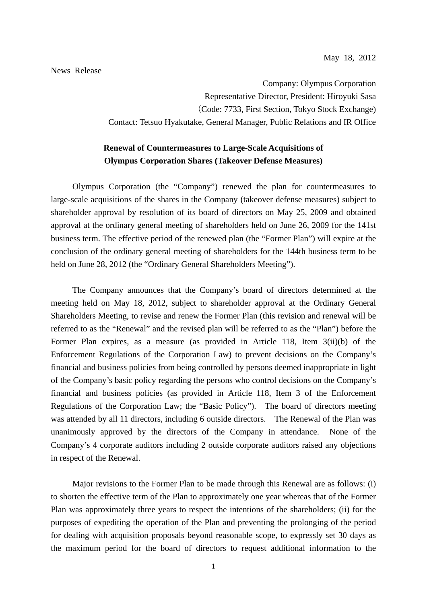Company: Olympus Corporation Representative Director, President: Hiroyuki Sasa (Code: 7733, First Section, Tokyo Stock Exchange) Contact: Tetsuo Hyakutake, General Manager, Public Relations and IR Office

# **Renewal of Countermeasures to Large-Scale Acquisitions of Olympus Corporation Shares (Takeover Defense Measures)**

Olympus Corporation (the "Company") renewed the plan for countermeasures to large-scale acquisitions of the shares in the Company (takeover defense measures) subject to shareholder approval by resolution of its board of directors on May 25, 2009 and obtained approval at the ordinary general meeting of shareholders held on June 26, 2009 for the 141st business term. The effective period of the renewed plan (the "Former Plan") will expire at the conclusion of the ordinary general meeting of shareholders for the 144th business term to be held on June 28, 2012 (the "Ordinary General Shareholders Meeting").

The Company announces that the Company's board of directors determined at the meeting held on May 18, 2012, subject to shareholder approval at the Ordinary General Shareholders Meeting, to revise and renew the Former Plan (this revision and renewal will be referred to as the "Renewal" and the revised plan will be referred to as the "Plan") before the Former Plan expires, as a measure (as provided in Article 118, Item 3(ii)(b) of the Enforcement Regulations of the Corporation Law) to prevent decisions on the Company's financial and business policies from being controlled by persons deemed inappropriate in light of the Company's basic policy regarding the persons who control decisions on the Company's financial and business policies (as provided in Article 118, Item 3 of the Enforcement Regulations of the Corporation Law; the "Basic Policy"). The board of directors meeting was attended by all 11 directors, including 6 outside directors. The Renewal of the Plan was unanimously approved by the directors of the Company in attendance. None of the Company's 4 corporate auditors including 2 outside corporate auditors raised any objections in respect of the Renewal.

Major revisions to the Former Plan to be made through this Renewal are as follows: (i) to shorten the effective term of the Plan to approximately one year whereas that of the Former Plan was approximately three years to respect the intentions of the shareholders; (ii) for the purposes of expediting the operation of the Plan and preventing the prolonging of the period for dealing with acquisition proposals beyond reasonable scope, to expressly set 30 days as the maximum period for the board of directors to request additional information to the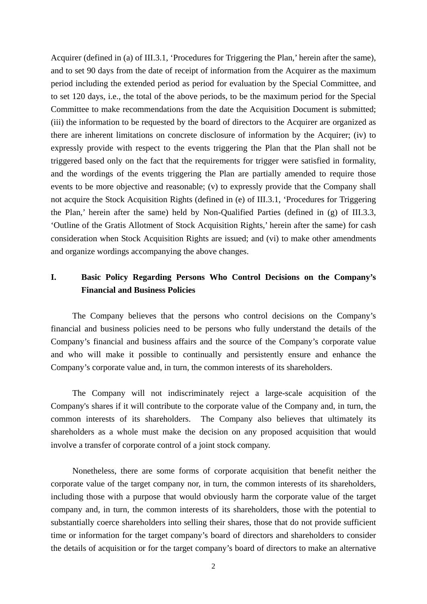Acquirer (defined in (a) of III.3.1, 'Procedures for Triggering the Plan,' herein after the same), and to set 90 days from the date of receipt of information from the Acquirer as the maximum period including the extended period as period for evaluation by the Special Committee, and to set 120 days, i.e., the total of the above periods, to be the maximum period for the Special Committee to make recommendations from the date the Acquisition Document is submitted; (iii) the information to be requested by the board of directors to the Acquirer are organized as there are inherent limitations on concrete disclosure of information by the Acquirer; (iv) to expressly provide with respect to the events triggering the Plan that the Plan shall not be triggered based only on the fact that the requirements for trigger were satisfied in formality, and the wordings of the events triggering the Plan are partially amended to require those events to be more objective and reasonable; (v) to expressly provide that the Company shall not acquire the Stock Acquisition Rights (defined in (e) of III.3.1, 'Procedures for Triggering the Plan,' herein after the same) held by Non-Qualified Parties (defined in (g) of III.3.3, 'Outline of the Gratis Allotment of Stock Acquisition Rights,' herein after the same) for cash consideration when Stock Acquisition Rights are issued; and (vi) to make other amendments and organize wordings accompanying the above changes.

# **I. Basic Policy Regarding Persons Who Control Decisions on the Company's Financial and Business Policies**

The Company believes that the persons who control decisions on the Company's financial and business policies need to be persons who fully understand the details of the Company's financial and business affairs and the source of the Company's corporate value and who will make it possible to continually and persistently ensure and enhance the Company's corporate value and, in turn, the common interests of its shareholders.

The Company will not indiscriminately reject a large-scale acquisition of the Company's shares if it will contribute to the corporate value of the Company and, in turn, the common interests of its shareholders. The Company also believes that ultimately its shareholders as a whole must make the decision on any proposed acquisition that would involve a transfer of corporate control of a joint stock company.

Nonetheless, there are some forms of corporate acquisition that benefit neither the corporate value of the target company nor, in turn, the common interests of its shareholders, including those with a purpose that would obviously harm the corporate value of the target company and, in turn, the common interests of its shareholders, those with the potential to substantially coerce shareholders into selling their shares, those that do not provide sufficient time or information for the target company's board of directors and shareholders to consider the details of acquisition or for the target company's board of directors to make an alternative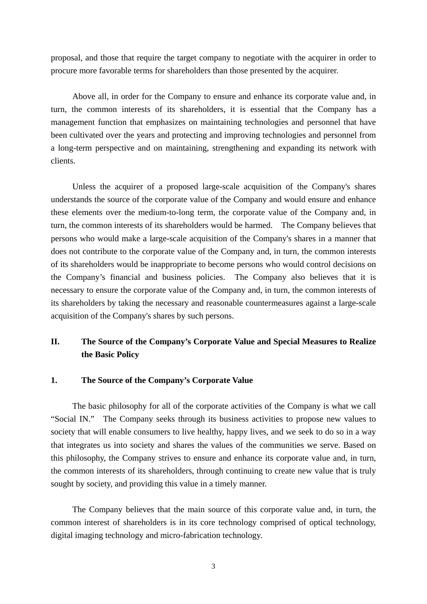proposal, and those that require the target company to negotiate with the acquirer in order to procure more favorable terms for shareholders than those presented by the acquirer.

Above all, in order for the Company to ensure and enhance its corporate value and, in turn, the common interests of its shareholders, it is essential that the Company has a management function that emphasizes on maintaining technologies and personnel that have been cultivated over the years and protecting and improving technologies and personnel from a long-term perspective and on maintaining, strengthening and expanding its network with clients.

Unless the acquirer of a proposed large-scale acquisition of the Company's shares understands the source of the corporate value of the Company and would ensure and enhance these elements over the medium-to-long term, the corporate value of the Company and, in turn, the common interests of its shareholders would be harmed. The Company believes that persons who would make a large-scale acquisition of the Company's shares in a manner that does not contribute to the corporate value of the Company and, in turn, the common interests of its shareholders would be inappropriate to become persons who would control decisions on the Company's financial and business policies. The Company also believes that it is necessary to ensure the corporate value of the Company and, in turn, the common interests of its shareholders by taking the necessary and reasonable countermeasures against a large-scale acquisition of the Company's shares by such persons.

# **II. The Source of the Company's Corporate Value and Special Measures to Realize the Basic Policy**

## **1. The Source of the Company's Corporate Value**

The basic philosophy for all of the corporate activities of the Company is what we call "Social IN." The Company seeks through its business activities to propose new values to society that will enable consumers to live healthy, happy lives, and we seek to do so in a way that integrates us into society and shares the values of the communities we serve. Based on this philosophy, the Company strives to ensure and enhance its corporate value and, in turn, the common interests of its shareholders, through continuing to create new value that is truly sought by society, and providing this value in a timely manner.

The Company believes that the main source of this corporate value and, in turn, the common interest of shareholders is in its core technology comprised of optical technology, digital imaging technology and micro-fabrication technology.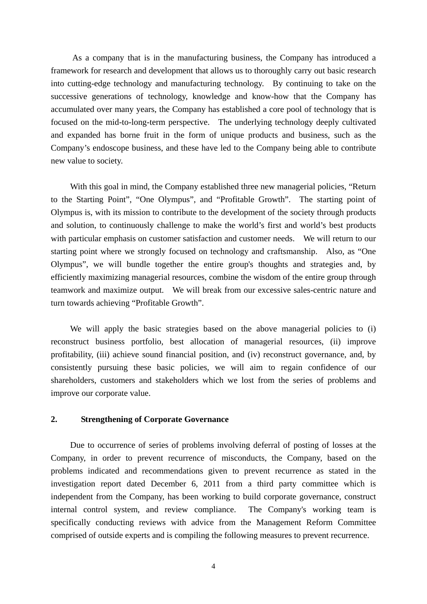As a company that is in the manufacturing business, the Company has introduced a framework for research and development that allows us to thoroughly carry out basic research into cutting-edge technology and manufacturing technology. By continuing to take on the successive generations of technology, knowledge and know-how that the Company has accumulated over many years, the Company has established a core pool of technology that is focused on the mid-to-long-term perspective. The underlying technology deeply cultivated and expanded has borne fruit in the form of unique products and business, such as the Company's endoscope business, and these have led to the Company being able to contribute new value to society.

With this goal in mind, the Company established three new managerial policies, "Return" to the Starting Point", "One Olympus", and "Profitable Growth". The starting point of Olympus is, with its mission to contribute to the development of the society through products and solution, to continuously challenge to make the world's first and world's best products with particular emphasis on customer satisfaction and customer needs. We will return to our starting point where we strongly focused on technology and craftsmanship. Also, as "One Olympus", we will bundle together the entire group's thoughts and strategies and, by efficiently maximizing managerial resources, combine the wisdom of the entire group through teamwork and maximize output. We will break from our excessive sales-centric nature and turn towards achieving "Profitable Growth".

We will apply the basic strategies based on the above managerial policies to (i) reconstruct business portfolio, best allocation of managerial resources, (ii) improve profitability, (iii) achieve sound financial position, and (iv) reconstruct governance, and, by consistently pursuing these basic policies, we will aim to regain confidence of our shareholders, customers and stakeholders which we lost from the series of problems and improve our corporate value.

### **2. Strengthening of Corporate Governance**

Due to occurrence of series of problems involving deferral of posting of losses at the Company, in order to prevent recurrence of misconducts, the Company, based on the problems indicated and recommendations given to prevent recurrence as stated in the investigation report dated December 6, 2011 from a third party committee which is independent from the Company, has been working to build corporate governance, construct internal control system, and review compliance. The Company's working team is specifically conducting reviews with advice from the Management Reform Committee comprised of outside experts and is compiling the following measures to prevent recurrence.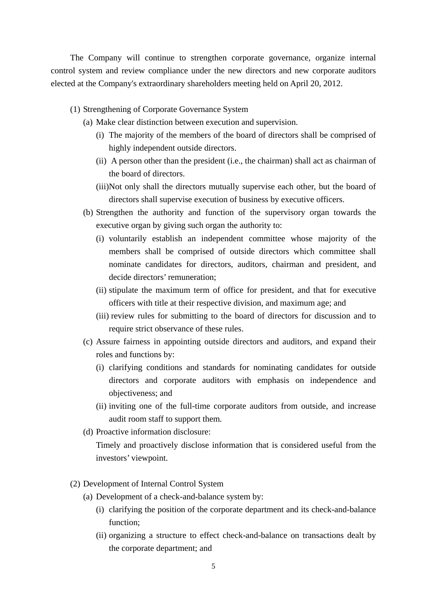The Company will continue to strengthen corporate governance, organize internal control system and review compliance under the new directors and new corporate auditors elected at the Company's extraordinary shareholders meeting held on April 20, 2012.

- (1) Strengthening of Corporate Governance System
	- (a) Make clear distinction between execution and supervision.
		- (i) The majority of the members of the board of directors shall be comprised of highly independent outside directors.
		- (ii) A person other than the president (i.e., the chairman) shall act as chairman of the board of directors.
		- (iii)Not only shall the directors mutually supervise each other, but the board of directors shall supervise execution of business by executive officers.
	- (b) Strengthen the authority and function of the supervisory organ towards the executive organ by giving such organ the authority to:
		- (i) voluntarily establish an independent committee whose majority of the members shall be comprised of outside directors which committee shall nominate candidates for directors, auditors, chairman and president, and decide directors' remuneration;
		- (ii) stipulate the maximum term of office for president, and that for executive officers with title at their respective division, and maximum age; and
		- (iii) review rules for submitting to the board of directors for discussion and to require strict observance of these rules.
	- (c) Assure fairness in appointing outside directors and auditors, and expand their roles and functions by:
		- (i) clarifying conditions and standards for nominating candidates for outside directors and corporate auditors with emphasis on independence and objectiveness; and
		- (ii) inviting one of the full-time corporate auditors from outside, and increase audit room staff to support them.
	- (d) Proactive information disclosure:

 Timely and proactively disclose information that is considered useful from the investors' viewpoint.

- (2) Development of Internal Control System
	- (a) Development of a check-and-balance system by:
		- (i) clarifying the position of the corporate department and its check-and-balance function;
		- (ii) organizing a structure to effect check-and-balance on transactions dealt by the corporate department; and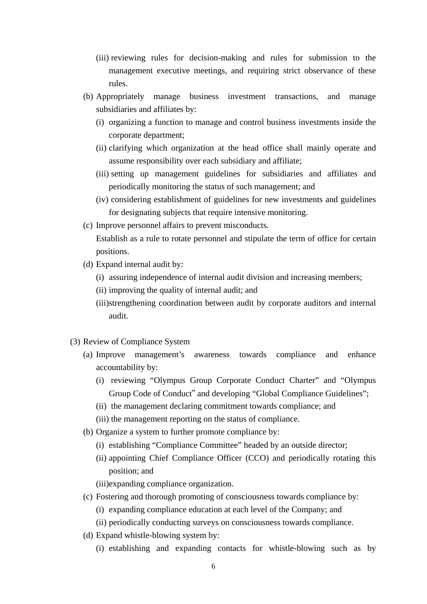- (iii) reviewing rules for decision-making and rules for submission to the management executive meetings, and requiring strict observance of these rules.
- (b) Appropriately manage business investment transactions, and manage subsidiaries and affiliates by:
	- (i) organizing a function to manage and control business investments inside the corporate department;
	- (ii) clarifying which organization at the head office shall mainly operate and assume responsibility over each subsidiary and affiliate;
	- (iii) setting up management guidelines for subsidiaries and affiliates and periodically monitoring the status of such management; and
	- (iv) considering establishment of guidelines for new investments and guidelines for designating subjects that require intensive monitoring.
- (c) Improve personnel affairs to prevent misconducts.

 Establish as a rule to rotate personnel and stipulate the term of office for certain positions.

- (d) Expand internal audit by:
	- (i) assuring independence of internal audit division and increasing members;
	- (ii) improving the quality of internal audit; and
	- (iii)strengthening coordination between audit by corporate auditors and internal audit.
- (3) Review of Compliance System
	- (a) Improve management's awareness towards compliance and enhance accountability by:
		- (i) reviewing "Olympus Group Corporate Conduct Charter" and "Olympus Group Code of Conduct" and developing "Global Compliance Guidelines";
		- (ii) the management declaring commitment towards compliance; and
		- (iii) the management reporting on the status of compliance.
	- (b) Organize a system to further promote compliance by:
		- (i) establishing "Compliance Committee" headed by an outside director;
		- (ii) appointing Chief Compliance Officer (CCO) and periodically rotating this position; and

(iii)expanding compliance organization.

- (c) Fostering and thorough promoting of consciousness towards compliance by:
	- (i) expanding compliance education at each level of the Company; and
	- (ii) periodically conducting surveys on consciousness towards compliance.
- (d) Expand whistle-blowing system by:
	- (i) establishing and expanding contacts for whistle-blowing such as by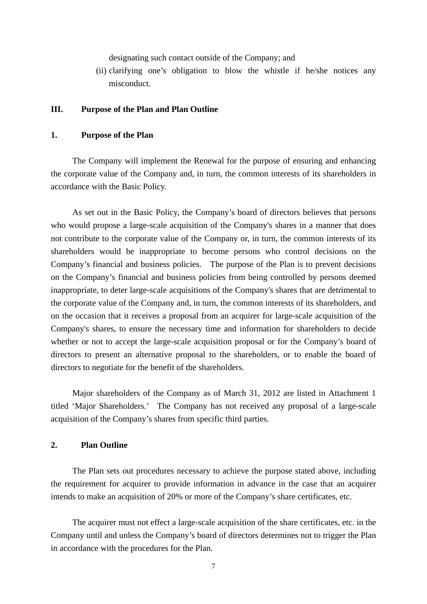designating such contact outside of the Company; and

 (ii) clarifying one's obligation to blow the whistle if he/she notices any misconduct.

### **III. Purpose of the Plan and Plan Outline**

#### **1. Purpose of the Plan**

The Company will implement the Renewal for the purpose of ensuring and enhancing the corporate value of the Company and, in turn, the common interests of its shareholders in accordance with the Basic Policy.

As set out in the Basic Policy, the Company's board of directors believes that persons who would propose a large-scale acquisition of the Company's shares in a manner that does not contribute to the corporate value of the Company or, in turn, the common interests of its shareholders would be inappropriate to become persons who control decisions on the Company's financial and business policies. The purpose of the Plan is to prevent decisions on the Company's financial and business policies from being controlled by persons deemed inappropriate, to deter large-scale acquisitions of the Company's shares that are detrimental to the corporate value of the Company and, in turn, the common interests of its shareholders, and on the occasion that it receives a proposal from an acquirer for large-scale acquisition of the Company's shares, to ensure the necessary time and information for shareholders to decide whether or not to accept the large-scale acquisition proposal or for the Company's board of directors to present an alternative proposal to the shareholders, or to enable the board of directors to negotiate for the benefit of the shareholders.

Major shareholders of the Company as of March 31, 2012 are listed in Attachment 1 titled 'Major Shareholders.' The Company has not received any proposal of a large-scale acquisition of the Company's shares from specific third parties.

## **2. Plan Outline**

The Plan sets out procedures necessary to achieve the purpose stated above, including the requirement for acquirer to provide information in advance in the case that an acquirer intends to make an acquisition of 20% or more of the Company's share certificates, etc.

The acquirer must not effect a large-scale acquisition of the share certificates, etc. in the Company until and unless the Company's board of directors determines not to trigger the Plan in accordance with the procedures for the Plan.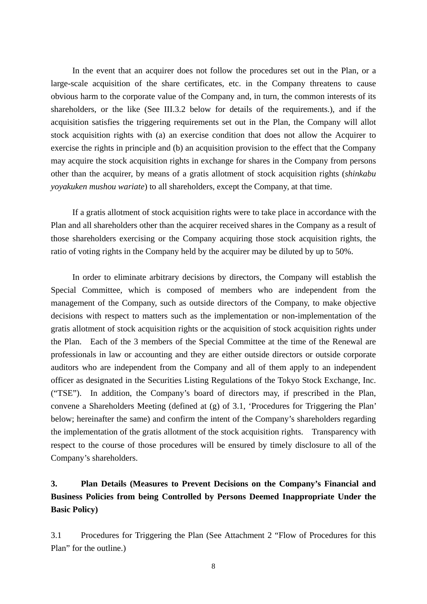In the event that an acquirer does not follow the procedures set out in the Plan, or a large-scale acquisition of the share certificates, etc. in the Company threatens to cause obvious harm to the corporate value of the Company and, in turn, the common interests of its shareholders, or the like (See III.3.2 below for details of the requirements.), and if the acquisition satisfies the triggering requirements set out in the Plan, the Company will allot stock acquisition rights with (a) an exercise condition that does not allow the Acquirer to exercise the rights in principle and (b) an acquisition provision to the effect that the Company may acquire the stock acquisition rights in exchange for shares in the Company from persons other than the acquirer, by means of a gratis allotment of stock acquisition rights (*shinkabu yoyakuken mushou wariate*) to all shareholders, except the Company, at that time.

If a gratis allotment of stock acquisition rights were to take place in accordance with the Plan and all shareholders other than the acquirer received shares in the Company as a result of those shareholders exercising or the Company acquiring those stock acquisition rights, the ratio of voting rights in the Company held by the acquirer may be diluted by up to 50%.

In order to eliminate arbitrary decisions by directors, the Company will establish the Special Committee, which is composed of members who are independent from the management of the Company, such as outside directors of the Company, to make objective decisions with respect to matters such as the implementation or non-implementation of the gratis allotment of stock acquisition rights or the acquisition of stock acquisition rights under the Plan. Each of the 3 members of the Special Committee at the time of the Renewal are professionals in law or accounting and they are either outside directors or outside corporate auditors who are independent from the Company and all of them apply to an independent officer as designated in the Securities Listing Regulations of the Tokyo Stock Exchange, Inc. ("TSE"). In addition, the Company's board of directors may, if prescribed in the Plan, convene a Shareholders Meeting (defined at (g) of 3.1, 'Procedures for Triggering the Plan' below; hereinafter the same) and confirm the intent of the Company's shareholders regarding the implementation of the gratis allotment of the stock acquisition rights. Transparency with respect to the course of those procedures will be ensured by timely disclosure to all of the Company's shareholders.

# **3. Plan Details (Measures to Prevent Decisions on the Company's Financial and Business Policies from being Controlled by Persons Deemed Inappropriate Under the Basic Policy)**

3.1 Procedures for Triggering the Plan (See Attachment 2 "Flow of Procedures for this Plan" for the outline.)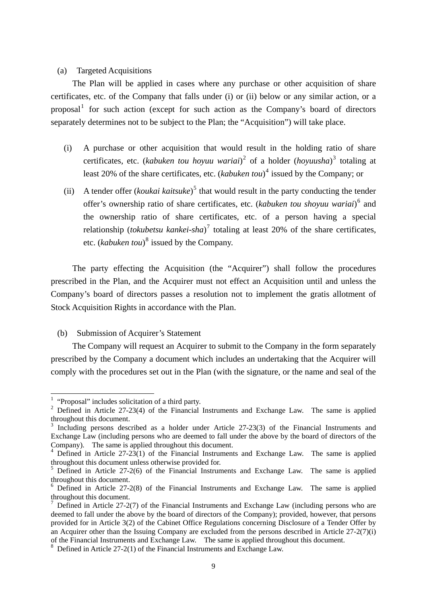#### (a) Targeted Acquisitions

The Plan will be applied in cases where any purchase or other acquisition of share certificates, etc. of the Company that falls under (i) or (ii) below or any similar action, or a proposal<sup>[1](#page-8-0)</sup> for such action (except for such action as the Company's board of directors separately determines not to be subject to the Plan; the "Acquisition") will take place.

- (i) A purchase or other acquisition that would result in the holding ratio of share certificates, etc. (*kabuken tou hoyuu wariai*) [2](#page-8-1) of a holder (*hoyuusha*) [3](#page-8-2) totaling at least 20% of the share certificates, etc. (*kabuken tou*)<sup>[4](#page-8-3)</sup> issued by the Company; or
- (ii) A tender offer (*koukai kaitsuke*)<sup>[5](#page-8-4)</sup> that would result in the party conducting the tender offer's ownership ratio of share certificates, etc. (kabuken tou shoyuu wariai)<sup>[6](#page-8-5)</sup> and the ownership ratio of share certificates, etc. of a person having a special relationship (*tokubetsu kankei-sha*) [7](#page-8-6) totaling at least 20% of the share certificates, etc. (*kabuken tou*) [8](#page-8-7) issued by the Company.

The party effecting the Acquisition (the "Acquirer") shall follow the procedures prescribed in the Plan, and the Acquirer must not effect an Acquisition until and unless the Company's board of directors passes a resolution not to implement the gratis allotment of Stock Acquisition Rights in accordance with the Plan.

(b) Submission of Acquirer's Statement

The Company will request an Acquirer to submit to the Company in the form separately prescribed by the Company a document which includes an undertaking that the Acquirer will comply with the procedures set out in the Plan (with the signature, or the name and seal of the

<sup>&</sup>lt;sup>1</sup> "Proposal" includes solicitation of a third party.

<span id="page-8-1"></span><span id="page-8-0"></span><sup>&</sup>lt;sup>2</sup> Defined in Article 27-23(4) of the Financial Instruments and Exchange Law. The same is applied throughout this document.

<span id="page-8-2"></span>Including persons described as a holder under Article 27-23(3) of the Financial Instruments and Exchange Law (including persons who are deemed to fall under the above by the board of directors of the Company). The same is applied throughout this document.

<span id="page-8-3"></span><sup>&</sup>lt;sup>4</sup> Defined in Article 27-23(1) of the Financial Instruments and Exchange Law. The same is applied throughout this document unless otherwise provided for.

<span id="page-8-4"></span> $5$  Defined in Article 27-2(6) of the Financial Instruments and Exchange Law. The same is applied throughout this document.

<span id="page-8-5"></span><sup>&</sup>lt;sup>6</sup> Defined in Article 27-2(8) of the Financial Instruments and Exchange Law. The same is applied throughout this document.

<span id="page-8-6"></span><sup>7</sup> Defined in Article 27-2(7) of the Financial Instruments and Exchange Law (including persons who are deemed to fall under the above by the board of directors of the Company); provided, however, that persons provided for in Article 3(2) of the Cabinet Office Regulations concerning Disclosure of a Tender Offer by an Acquirer other than the Issuing Company are excluded from the persons described in Article 27-2(7)(i) of the Financial Instruments and Exchange Law. The same is applied throughout this document.

<span id="page-8-7"></span><sup>&</sup>lt;sup>8</sup> Defined in Article 27-2(1) of the Financial Instruments and Exchange Law.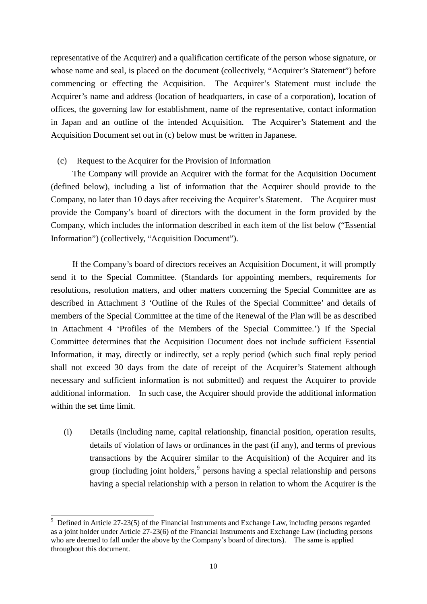representative of the Acquirer) and a qualification certificate of the person whose signature, or whose name and seal, is placed on the document (collectively, "Acquirer's Statement") before commencing or effecting the Acquisition. The Acquirer's Statement must include the Acquirer's name and address (location of headquarters, in case of a corporation), location of offices, the governing law for establishment, name of the representative, contact information in Japan and an outline of the intended Acquisition. The Acquirer's Statement and the Acquisition Document set out in (c) below must be written in Japanese.

## (c) Request to the Acquirer for the Provision of Information

The Company will provide an Acquirer with the format for the Acquisition Document (defined below), including a list of information that the Acquirer should provide to the Company, no later than 10 days after receiving the Acquirer's Statement. The Acquirer must provide the Company's board of directors with the document in the form provided by the Company, which includes the information described in each item of the list below ("Essential Information") (collectively, "Acquisition Document").

If the Company's board of directors receives an Acquisition Document, it will promptly send it to the Special Committee. (Standards for appointing members, requirements for resolutions, resolution matters, and other matters concerning the Special Committee are as described in Attachment 3 'Outline of the Rules of the Special Committee' and details of members of the Special Committee at the time of the Renewal of the Plan will be as described in Attachment 4 'Profiles of the Members of the Special Committee.') If the Special Committee determines that the Acquisition Document does not include sufficient Essential Information, it may, directly or indirectly, set a reply period (which such final reply period shall not exceed 30 days from the date of receipt of the Acquirer's Statement although necessary and sufficient information is not submitted) and request the Acquirer to provide additional information. In such case, the Acquirer should provide the additional information within the set time limit.

(i) Details (including name, capital relationship, financial position, operation results, details of violation of laws or ordinances in the past (if any), and terms of previous transactions by the Acquirer similar to the Acquisition) of the Acquirer and its group (including joint holders,<sup>[9](#page-9-0)</sup> persons having a special relationship and persons having a special relationship with a person in relation to whom the Acquirer is the

-

<span id="page-9-0"></span><sup>9</sup> Defined in Article 27-23(5) of the Financial Instruments and Exchange Law, including persons regarded as a joint holder under Article 27-23(6) of the Financial Instruments and Exchange Law (including persons who are deemed to fall under the above by the Company's board of directors). The same is applied throughout this document.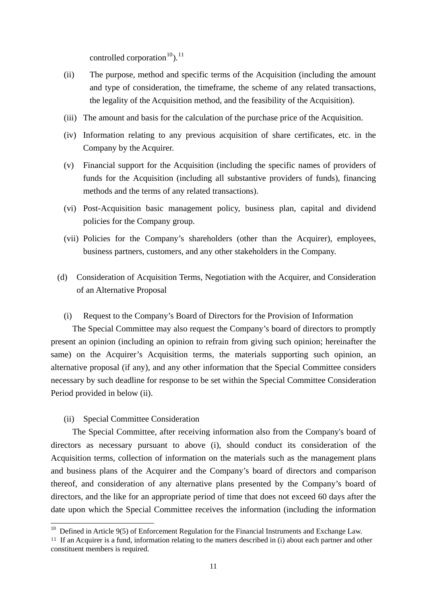controlled corporation<sup>10</sup>).<sup>11</sup>

- (ii) The purpose, method and specific terms of the Acquisition (including the amount and type of consideration, the timeframe, the scheme of any related transactions, the legality of the Acquisition method, and the feasibility of the Acquisition).
- (iii) The amount and basis for the calculation of the purchase price of the Acquisition.
- (iv) Information relating to any previous acquisition of share certificates, etc. in the Company by the Acquirer.
- (v) Financial support for the Acquisition (including the specific names of providers of funds for the Acquisition (including all substantive providers of funds), financing methods and the terms of any related transactions).
- (vi) Post-Acquisition basic management policy, business plan, capital and dividend policies for the Company group.
- (vii) Policies for the Company's shareholders (other than the Acquirer), employees, business partners, customers, and any other stakeholders in the Company.
- (d) Consideration of Acquisition Terms, Negotiation with the Acquirer, and Consideration of an Alternative Proposal
	- (i) Request to the Company's Board of Directors for the Provision of Information

The Special Committee may also request the Company's board of directors to promptly present an opinion (including an opinion to refrain from giving such opinion; hereinafter the same) on the Acquirer's Acquisition terms, the materials supporting such opinion, an alternative proposal (if any), and any other information that the Special Committee considers necessary by such deadline for response to be set within the Special Committee Consideration Period provided in below (ii).

(ii) Special Committee Consideration

-

The Special Committee, after receiving information also from the Company's board of directors as necessary pursuant to above (i), should conduct its consideration of the Acquisition terms, collection of information on the materials such as the management plans and business plans of the Acquirer and the Company's board of directors and comparison thereof, and consideration of any alternative plans presented by the Company's board of directors, and the like for an appropriate period of time that does not exceed 60 days after the date upon which the Special Committee receives the information (including the information

<sup>&</sup>lt;sup>10</sup> Defined in Article 9(5) of Enforcement Regulation for the Financial Instruments and Exchange Law.

<sup>&</sup>lt;sup>11</sup> If an Acquirer is a fund, information relating to the matters described in (i) about each partner and other constituent members is required.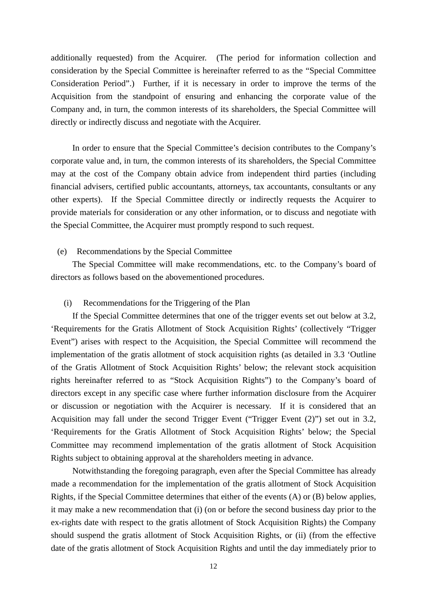additionally requested) from the Acquirer. (The period for information collection and consideration by the Special Committee is hereinafter referred to as the "Special Committee Consideration Period".) Further, if it is necessary in order to improve the terms of the Acquisition from the standpoint of ensuring and enhancing the corporate value of the Company and, in turn, the common interests of its shareholders, the Special Committee will directly or indirectly discuss and negotiate with the Acquirer.

In order to ensure that the Special Committee's decision contributes to the Company's corporate value and, in turn, the common interests of its shareholders, the Special Committee may at the cost of the Company obtain advice from independent third parties (including financial advisers, certified public accountants, attorneys, tax accountants, consultants or any other experts). If the Special Committee directly or indirectly requests the Acquirer to provide materials for consideration or any other information, or to discuss and negotiate with the Special Committee, the Acquirer must promptly respond to such request.

#### (e) Recommendations by the Special Committee

The Special Committee will make recommendations, etc. to the Company's board of directors as follows based on the abovementioned procedures.

#### (i) Recommendations for the Triggering of the Plan

If the Special Committee determines that one of the trigger events set out below at 3.2, 'Requirements for the Gratis Allotment of Stock Acquisition Rights' (collectively "Trigger Event") arises with respect to the Acquisition, the Special Committee will recommend the implementation of the gratis allotment of stock acquisition rights (as detailed in 3.3 'Outline of the Gratis Allotment of Stock Acquisition Rights' below; the relevant stock acquisition rights hereinafter referred to as "Stock Acquisition Rights") to the Company's board of directors except in any specific case where further information disclosure from the Acquirer or discussion or negotiation with the Acquirer is necessary. If it is considered that an Acquisition may fall under the second Trigger Event ("Trigger Event (2)") set out in 3.2, 'Requirements for the Gratis Allotment of Stock Acquisition Rights' below; the Special Committee may recommend implementation of the gratis allotment of Stock Acquisition Rights subject to obtaining approval at the shareholders meeting in advance.

Notwithstanding the foregoing paragraph, even after the Special Committee has already made a recommendation for the implementation of the gratis allotment of Stock Acquisition Rights, if the Special Committee determines that either of the events (A) or (B) below applies, it may make a new recommendation that (i) (on or before the second business day prior to the ex-rights date with respect to the gratis allotment of Stock Acquisition Rights) the Company should suspend the gratis allotment of Stock Acquisition Rights, or (ii) (from the effective date of the gratis allotment of Stock Acquisition Rights and until the day immediately prior to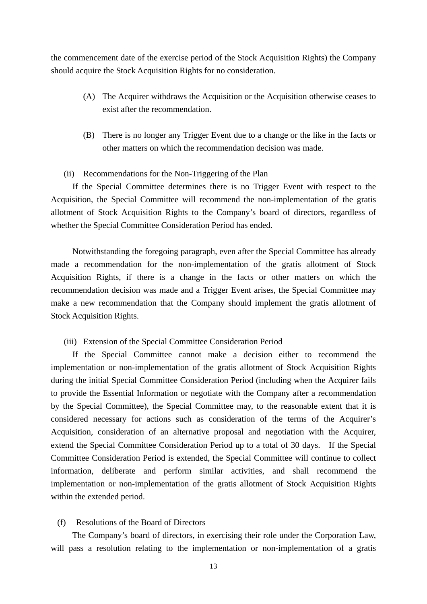the commencement date of the exercise period of the Stock Acquisition Rights) the Company should acquire the Stock Acquisition Rights for no consideration.

- (A) The Acquirer withdraws the Acquisition or the Acquisition otherwise ceases to exist after the recommendation.
- (B) There is no longer any Trigger Event due to a change or the like in the facts or other matters on which the recommendation decision was made.
- (ii) Recommendations for the Non-Triggering of the Plan

If the Special Committee determines there is no Trigger Event with respect to the Acquisition, the Special Committee will recommend the non-implementation of the gratis allotment of Stock Acquisition Rights to the Company's board of directors, regardless of whether the Special Committee Consideration Period has ended.

Notwithstanding the foregoing paragraph, even after the Special Committee has already made a recommendation for the non-implementation of the gratis allotment of Stock Acquisition Rights, if there is a change in the facts or other matters on which the recommendation decision was made and a Trigger Event arises, the Special Committee may make a new recommendation that the Company should implement the gratis allotment of Stock Acquisition Rights.

(iii) Extension of the Special Committee Consideration Period

If the Special Committee cannot make a decision either to recommend the implementation or non-implementation of the gratis allotment of Stock Acquisition Rights during the initial Special Committee Consideration Period (including when the Acquirer fails to provide the Essential Information or negotiate with the Company after a recommendation by the Special Committee), the Special Committee may, to the reasonable extent that it is considered necessary for actions such as consideration of the terms of the Acquirer's Acquisition, consideration of an alternative proposal and negotiation with the Acquirer, extend the Special Committee Consideration Period up to a total of 30 days. If the Special Committee Consideration Period is extended, the Special Committee will continue to collect information, deliberate and perform similar activities, and shall recommend the implementation or non-implementation of the gratis allotment of Stock Acquisition Rights within the extended period.

### (f) Resolutions of the Board of Directors

The Company's board of directors, in exercising their role under the Corporation Law, will pass a resolution relating to the implementation or non-implementation of a gratis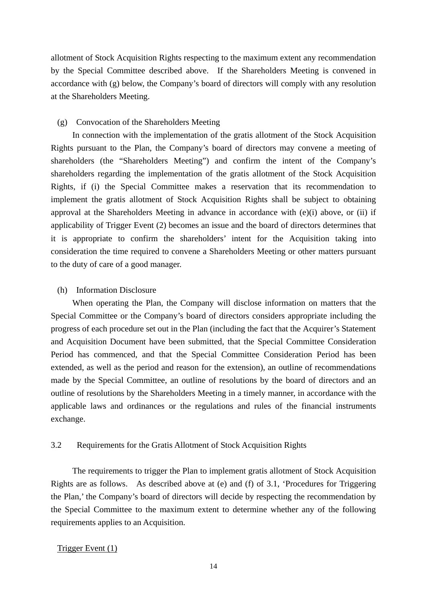allotment of Stock Acquisition Rights respecting to the maximum extent any recommendation by the Special Committee described above. If the Shareholders Meeting is convened in accordance with (g) below, the Company's board of directors will comply with any resolution at the Shareholders Meeting.

### (g) Convocation of the Shareholders Meeting

In connection with the implementation of the gratis allotment of the Stock Acquisition Rights pursuant to the Plan, the Company's board of directors may convene a meeting of shareholders (the "Shareholders Meeting") and confirm the intent of the Company's shareholders regarding the implementation of the gratis allotment of the Stock Acquisition Rights, if (i) the Special Committee makes a reservation that its recommendation to implement the gratis allotment of Stock Acquisition Rights shall be subject to obtaining approval at the Shareholders Meeting in advance in accordance with (e)(i) above, or (ii) if applicability of Trigger Event (2) becomes an issue and the board of directors determines that it is appropriate to confirm the shareholders' intent for the Acquisition taking into consideration the time required to convene a Shareholders Meeting or other matters pursuant to the duty of care of a good manager.

#### (h) Information Disclosure

When operating the Plan, the Company will disclose information on matters that the Special Committee or the Company's board of directors considers appropriate including the progress of each procedure set out in the Plan (including the fact that the Acquirer's Statement and Acquisition Document have been submitted, that the Special Committee Consideration Period has commenced, and that the Special Committee Consideration Period has been extended, as well as the period and reason for the extension), an outline of recommendations made by the Special Committee, an outline of resolutions by the board of directors and an outline of resolutions by the Shareholders Meeting in a timely manner, in accordance with the applicable laws and ordinances or the regulations and rules of the financial instruments exchange.

### 3.2 Requirements for the Gratis Allotment of Stock Acquisition Rights

The requirements to trigger the Plan to implement gratis allotment of Stock Acquisition Rights are as follows. As described above at (e) and (f) of 3.1, 'Procedures for Triggering the Plan,' the Company's board of directors will decide by respecting the recommendation by the Special Committee to the maximum extent to determine whether any of the following requirements applies to an Acquisition.

### Trigger Event (1)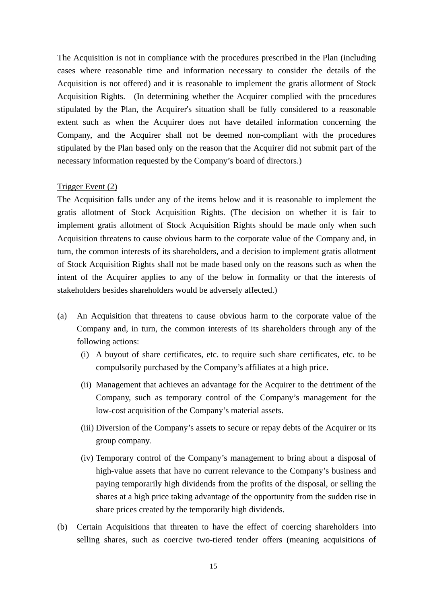The Acquisition is not in compliance with the procedures prescribed in the Plan (including cases where reasonable time and information necessary to consider the details of the Acquisition is not offered) and it is reasonable to implement the gratis allotment of Stock Acquisition Rights. (In determining whether the Acquirer complied with the procedures stipulated by the Plan, the Acquirer's situation shall be fully considered to a reasonable extent such as when the Acquirer does not have detailed information concerning the Company, and the Acquirer shall not be deemed non-compliant with the procedures stipulated by the Plan based only on the reason that the Acquirer did not submit part of the necessary information requested by the Company's board of directors.)

### Trigger Event (2)

The Acquisition falls under any of the items below and it is reasonable to implement the gratis allotment of Stock Acquisition Rights. (The decision on whether it is fair to implement gratis allotment of Stock Acquisition Rights should be made only when such Acquisition threatens to cause obvious harm to the corporate value of the Company and, in turn, the common interests of its shareholders, and a decision to implement gratis allotment of Stock Acquisition Rights shall not be made based only on the reasons such as when the intent of the Acquirer applies to any of the below in formality or that the interests of stakeholders besides shareholders would be adversely affected.)

- (a) An Acquisition that threatens to cause obvious harm to the corporate value of the Company and, in turn, the common interests of its shareholders through any of the following actions:
	- (i) A buyout of share certificates, etc. to require such share certificates, etc. to be compulsorily purchased by the Company's affiliates at a high price.
	- (ii) Management that achieves an advantage for the Acquirer to the detriment of the Company, such as temporary control of the Company's management for the low-cost acquisition of the Company's material assets.
	- (iii) Diversion of the Company's assets to secure or repay debts of the Acquirer or its group company.
	- (iv) Temporary control of the Company's management to bring about a disposal of high-value assets that have no current relevance to the Company's business and paying temporarily high dividends from the profits of the disposal, or selling the shares at a high price taking advantage of the opportunity from the sudden rise in share prices created by the temporarily high dividends.
- (b) Certain Acquisitions that threaten to have the effect of coercing shareholders into selling shares, such as coercive two-tiered tender offers (meaning acquisitions of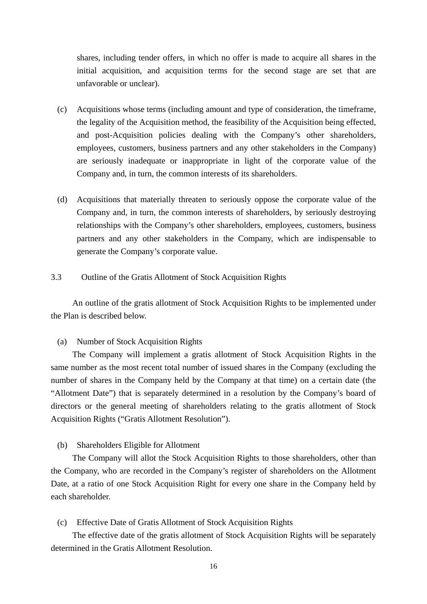shares, including tender offers, in which no offer is made to acquire all shares in the initial acquisition, and acquisition terms for the second stage are set that are unfavorable or unclear).

- (c) Acquisitions whose terms (including amount and type of consideration, the timeframe, the legality of the Acquisition method, the feasibility of the Acquisition being effected, and post-Acquisition policies dealing with the Company's other shareholders, employees, customers, business partners and any other stakeholders in the Company) are seriously inadequate or inappropriate in light of the corporate value of the Company and, in turn, the common interests of its shareholders.
- (d) Acquisitions that materially threaten to seriously oppose the corporate value of the Company and, in turn, the common interests of shareholders, by seriously destroying relationships with the Company's other shareholders, employees, customers, business partners and any other stakeholders in the Company, which are indispensable to generate the Company's corporate value.
- 3.3 Outline of the Gratis Allotment of Stock Acquisition Rights

An outline of the gratis allotment of Stock Acquisition Rights to be implemented under the Plan is described below.

#### (a) Number of Stock Acquisition Rights

The Company will implement a gratis allotment of Stock Acquisition Rights in the same number as the most recent total number of issued shares in the Company (excluding the number of shares in the Company held by the Company at that time) on a certain date (the "Allotment Date") that is separately determined in a resolution by the Company's board of directors or the general meeting of shareholders relating to the gratis allotment of Stock Acquisition Rights ("Gratis Allotment Resolution").

(b) Shareholders Eligible for Allotment

The Company will allot the Stock Acquisition Rights to those shareholders, other than the Company, who are recorded in the Company's register of shareholders on the Allotment Date, at a ratio of one Stock Acquisition Right for every one share in the Company held by each shareholder.

(c) Effective Date of Gratis Allotment of Stock Acquisition Rights

The effective date of the gratis allotment of Stock Acquisition Rights will be separately determined in the Gratis Allotment Resolution.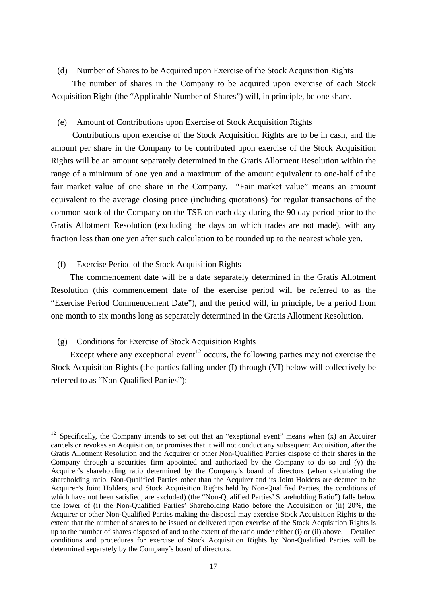(d) Number of Shares to be Acquired upon Exercise of the Stock Acquisition Rights

The number of shares in the Company to be acquired upon exercise of each Stock Acquisition Right (the "Applicable Number of Shares") will, in principle, be one share.

### (e) Amount of Contributions upon Exercise of Stock Acquisition Rights

Contributions upon exercise of the Stock Acquisition Rights are to be in cash, and the amount per share in the Company to be contributed upon exercise of the Stock Acquisition Rights will be an amount separately determined in the Gratis Allotment Resolution within the range of a minimum of one yen and a maximum of the amount equivalent to one-half of the fair market value of one share in the Company. "Fair market value" means an amount equivalent to the average closing price (including quotations) for regular transactions of the common stock of the Company on the TSE on each day during the 90 day period prior to the Gratis Allotment Resolution (excluding the days on which trades are not made), with any fraction less than one yen after such calculation to be rounded up to the nearest whole yen.

(f) Exercise Period of the Stock Acquisition Rights

The commencement date will be a date separately determined in the Gratis Allotment Resolution (this commencement date of the exercise period will be referred to as the "Exercise Period Commencement Date"), and the period will, in principle, be a period from one month to six months long as separately determined in the Gratis Allotment Resolution.

## (g) Conditions for Exercise of Stock Acquisition Rights

-

Except where any exceptional event<sup>[12](#page-16-0)</sup> occurs, the following parties may not exercise the Stock Acquisition Rights (the parties falling under (I) through (VI) below will collectively be referred to as "Non-Qualified Parties"):

<span id="page-16-0"></span><sup>&</sup>lt;sup>12</sup> Specifically, the Company intends to set out that an "exeptional event" means when  $(x)$  an Acquirer cancels or revokes an Acquisition, or promises that it will not conduct any subsequent Acquisition, after the Gratis Allotment Resolution and the Acquirer or other Non-Qualified Parties dispose of their shares in the Company through a securities firm appointed and authorized by the Company to do so and (y) the Acquirer's shareholding ratio determined by the Company's board of directors (when calculating the shareholding ratio, Non-Qualified Parties other than the Acquirer and its Joint Holders are deemed to be Acquirer's Joint Holders, and Stock Acquisition Rights held by Non-Qualified Parties, the conditions of which have not been satisfied, are excluded) (the "Non-Qualified Parties' Shareholding Ratio") falls below the lower of (i) the Non-Qualified Parties' Shareholding Ratio before the Acquisition or (ii) 20%, the Acquirer or other Non-Qualified Parties making the disposal may exercise Stock Acquisition Rights to the extent that the number of shares to be issued or delivered upon exercise of the Stock Acquisition Rights is up to the number of shares disposed of and to the extent of the ratio under either (i) or (ii) above. Detailed conditions and procedures for exercise of Stock Acquisition Rights by Non-Qualified Parties will be determined separately by the Company's board of directors.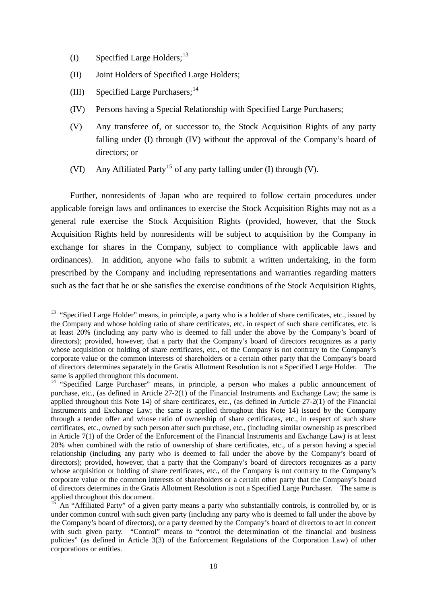- (I) Specified Large Holders;  $^{13}$  $^{13}$  $^{13}$
- (II) Joint Holders of Specified Large Holders;
- (III) Specified Large Purchasers:  $14$

-

- (IV) Persons having a Special Relationship with Specified Large Purchasers;
- (V) Any transferee of, or successor to, the Stock Acquisition Rights of any party falling under (I) through (IV) without the approval of the Company's board of directors; or
- (VI) Any Affiliated Party<sup>[15](#page-17-2)</sup> of any party falling under (I) through (V).

Further, nonresidents of Japan who are required to follow certain procedures under applicable foreign laws and ordinances to exercise the Stock Acquisition Rights may not as a general rule exercise the Stock Acquisition Rights (provided, however, that the Stock Acquisition Rights held by nonresidents will be subject to acquisition by the Company in exchange for shares in the Company, subject to compliance with applicable laws and ordinances). In addition, anyone who fails to submit a written undertaking, in the form prescribed by the Company and including representations and warranties regarding matters such as the fact that he or she satisfies the exercise conditions of the Stock Acquisition Rights,

<span id="page-17-0"></span><sup>&</sup>lt;sup>13</sup> "Specified Large Holder" means, in principle, a party who is a holder of share certificates, etc., issued by the Company and whose holding ratio of share certificates, etc. in respect of such share certificates, etc. is at least 20% (including any party who is deemed to fall under the above by the Company's board of directors); provided, however, that a party that the Company's board of directors recognizes as a party whose acquisition or holding of share certificates, etc., of the Company is not contrary to the Company's corporate value or the common interests of shareholders or a certain other party that the Company's board of directors determines separately in the Gratis Allotment Resolution is not a Specified Large Holder. The same is applied throughout this document.

<span id="page-17-1"></span><sup>&</sup>lt;sup>14</sup> "Specified Large Purchaser" means, in principle, a person who makes a public announcement of purchase, etc., (as defined in Article 27-2(1) of the Financial Instruments and Exchange Law; the same is applied throughout this Note 14) of share certificates, etc., (as defined in Article 27-2(1) of the Financial Instruments and Exchange Law; the same is applied throughout this Note 14) issued by the Company through a tender offer and whose ratio of ownership of share certificates, etc., in respect of such share certificates, etc., owned by such person after such purchase, etc., (including similar ownership as prescribed in Article 7(1) of the Order of the Enforcement of the Financial Instruments and Exchange Law) is at least 20% when combined with the ratio of ownership of share certificates, etc., of a person having a special relationship (including any party who is deemed to fall under the above by the Company's board of directors); provided, however, that a party that the Company's board of directors recognizes as a party whose acquisition or holding of share certificates, etc., of the Company is not contrary to the Company's corporate value or the common interests of shareholders or a certain other party that the Company's board of directors determines in the Gratis Allotment Resolution is not a Specified Large Purchaser. The same is applied throughout this document.

<span id="page-17-2"></span>An "Affiliated Party" of a given party means a party who substantially controls, is controlled by, or is under common control with such given party (including any party who is deemed to fall under the above by the Company's board of directors), or a party deemed by the Company's board of directors to act in concert with such given party. "Control" means to "control the determination of the financial and business policies" (as defined in Article 3(3) of the Enforcement Regulations of the Corporation Law) of other corporations or entities.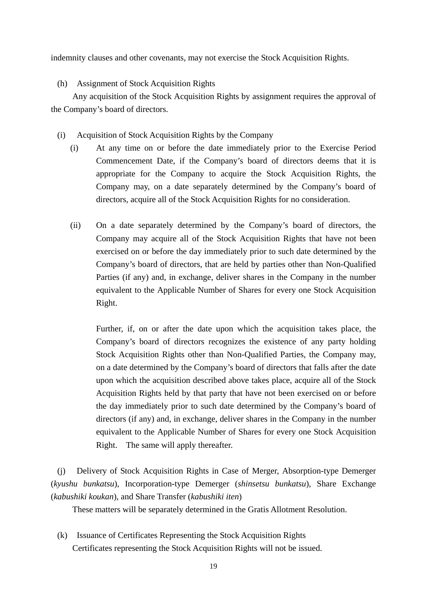indemnity clauses and other covenants, may not exercise the Stock Acquisition Rights.

## (h) Assignment of Stock Acquisition Rights

Any acquisition of the Stock Acquisition Rights by assignment requires the approval of the Company's board of directors.

(i) Acquisition of Stock Acquisition Rights by the Company

- (i) At any time on or before the date immediately prior to the Exercise Period Commencement Date, if the Company's board of directors deems that it is appropriate for the Company to acquire the Stock Acquisition Rights, the Company may, on a date separately determined by the Company's board of directors, acquire all of the Stock Acquisition Rights for no consideration.
- (ii) On a date separately determined by the Company's board of directors, the Company may acquire all of the Stock Acquisition Rights that have not been exercised on or before the day immediately prior to such date determined by the Company's board of directors, that are held by parties other than Non-Qualified Parties (if any) and, in exchange, deliver shares in the Company in the number equivalent to the Applicable Number of Shares for every one Stock Acquisition Right.

 Further, if, on or after the date upon which the acquisition takes place, the Company's board of directors recognizes the existence of any party holding Stock Acquisition Rights other than Non-Qualified Parties, the Company may, on a date determined by the Company's board of directors that falls after the date upon which the acquisition described above takes place, acquire all of the Stock Acquisition Rights held by that party that have not been exercised on or before the day immediately prior to such date determined by the Company's board of directors (if any) and, in exchange, deliver shares in the Company in the number equivalent to the Applicable Number of Shares for every one Stock Acquisition Right. The same will apply thereafter.

(j) Delivery of Stock Acquisition Rights in Case of Merger, Absorption-type Demerger (*kyushu bunkatsu*), Incorporation-type Demerger (*shinsetsu bunkatsu*), Share Exchange (*kabushiki koukan*), and Share Transfer (*kabushiki iten*)

These matters will be separately determined in the Gratis Allotment Resolution.

(k) Issuance of Certificates Representing the Stock Acquisition Rights Certificates representing the Stock Acquisition Rights will not be issued.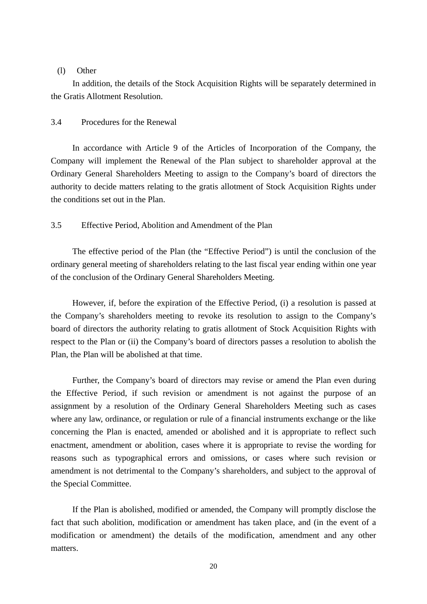#### (l) Other

In addition, the details of the Stock Acquisition Rights will be separately determined in the Gratis Allotment Resolution.

### 3.4 Procedures for the Renewal

In accordance with Article 9 of the Articles of Incorporation of the Company, the Company will implement the Renewal of the Plan subject to shareholder approval at the Ordinary General Shareholders Meeting to assign to the Company's board of directors the authority to decide matters relating to the gratis allotment of Stock Acquisition Rights under the conditions set out in the Plan.

## 3.5 Effective Period, Abolition and Amendment of the Plan

The effective period of the Plan (the "Effective Period") is until the conclusion of the ordinary general meeting of shareholders relating to the last fiscal year ending within one year of the conclusion of the Ordinary General Shareholders Meeting.

However, if, before the expiration of the Effective Period, (i) a resolution is passed at the Company's shareholders meeting to revoke its resolution to assign to the Company's board of directors the authority relating to gratis allotment of Stock Acquisition Rights with respect to the Plan or (ii) the Company's board of directors passes a resolution to abolish the Plan, the Plan will be abolished at that time.

Further, the Company's board of directors may revise or amend the Plan even during the Effective Period, if such revision or amendment is not against the purpose of an assignment by a resolution of the Ordinary General Shareholders Meeting such as cases where any law, ordinance, or regulation or rule of a financial instruments exchange or the like concerning the Plan is enacted, amended or abolished and it is appropriate to reflect such enactment, amendment or abolition, cases where it is appropriate to revise the wording for reasons such as typographical errors and omissions, or cases where such revision or amendment is not detrimental to the Company's shareholders, and subject to the approval of the Special Committee.

If the Plan is abolished, modified or amended, the Company will promptly disclose the fact that such abolition, modification or amendment has taken place, and (in the event of a modification or amendment) the details of the modification, amendment and any other matters.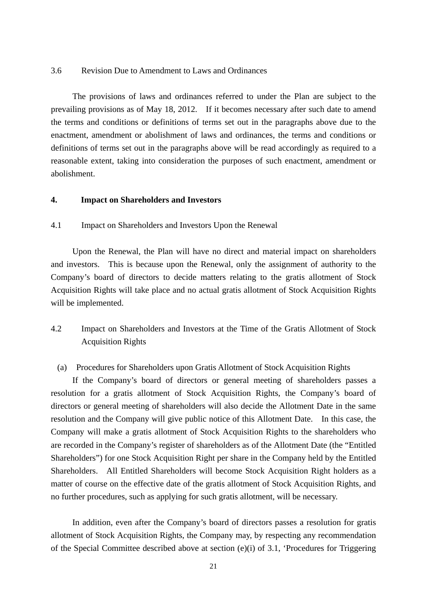#### 3.6 Revision Due to Amendment to Laws and Ordinances

The provisions of laws and ordinances referred to under the Plan are subject to the prevailing provisions as of May 18, 2012. If it becomes necessary after such date to amend the terms and conditions or definitions of terms set out in the paragraphs above due to the enactment, amendment or abolishment of laws and ordinances, the terms and conditions or definitions of terms set out in the paragraphs above will be read accordingly as required to a reasonable extent, taking into consideration the purposes of such enactment, amendment or abolishment.

#### **4. Impact on Shareholders and Investors**

### 4.1 Impact on Shareholders and Investors Upon the Renewal

Upon the Renewal, the Plan will have no direct and material impact on shareholders and investors. This is because upon the Renewal, only the assignment of authority to the Company's board of directors to decide matters relating to the gratis allotment of Stock Acquisition Rights will take place and no actual gratis allotment of Stock Acquisition Rights will be implemented.

# 4.2 Impact on Shareholders and Investors at the Time of the Gratis Allotment of Stock Acquisition Rights

#### (a) Procedures for Shareholders upon Gratis Allotment of Stock Acquisition Rights

If the Company's board of directors or general meeting of shareholders passes a resolution for a gratis allotment of Stock Acquisition Rights, the Company's board of directors or general meeting of shareholders will also decide the Allotment Date in the same resolution and the Company will give public notice of this Allotment Date. In this case, the Company will make a gratis allotment of Stock Acquisition Rights to the shareholders who are recorded in the Company's register of shareholders as of the Allotment Date (the "Entitled Shareholders") for one Stock Acquisition Right per share in the Company held by the Entitled Shareholders. All Entitled Shareholders will become Stock Acquisition Right holders as a matter of course on the effective date of the gratis allotment of Stock Acquisition Rights, and no further procedures, such as applying for such gratis allotment, will be necessary.

In addition, even after the Company's board of directors passes a resolution for gratis allotment of Stock Acquisition Rights, the Company may, by respecting any recommendation of the Special Committee described above at section (e)(i) of 3.1, 'Procedures for Triggering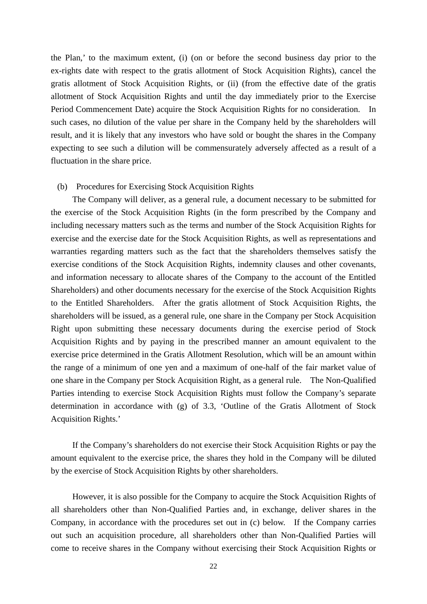the Plan,' to the maximum extent, (i) (on or before the second business day prior to the ex-rights date with respect to the gratis allotment of Stock Acquisition Rights), cancel the gratis allotment of Stock Acquisition Rights, or (ii) (from the effective date of the gratis allotment of Stock Acquisition Rights and until the day immediately prior to the Exercise Period Commencement Date) acquire the Stock Acquisition Rights for no consideration. In such cases, no dilution of the value per share in the Company held by the shareholders will result, and it is likely that any investors who have sold or bought the shares in the Company expecting to see such a dilution will be commensurately adversely affected as a result of a fluctuation in the share price.

#### (b) Procedures for Exercising Stock Acquisition Rights

The Company will deliver, as a general rule, a document necessary to be submitted for the exercise of the Stock Acquisition Rights (in the form prescribed by the Company and including necessary matters such as the terms and number of the Stock Acquisition Rights for exercise and the exercise date for the Stock Acquisition Rights, as well as representations and warranties regarding matters such as the fact that the shareholders themselves satisfy the exercise conditions of the Stock Acquisition Rights, indemnity clauses and other covenants, and information necessary to allocate shares of the Company to the account of the Entitled Shareholders) and other documents necessary for the exercise of the Stock Acquisition Rights to the Entitled Shareholders. After the gratis allotment of Stock Acquisition Rights, the shareholders will be issued, as a general rule, one share in the Company per Stock Acquisition Right upon submitting these necessary documents during the exercise period of Stock Acquisition Rights and by paying in the prescribed manner an amount equivalent to the exercise price determined in the Gratis Allotment Resolution, which will be an amount within the range of a minimum of one yen and a maximum of one-half of the fair market value of one share in the Company per Stock Acquisition Right, as a general rule. The Non-Qualified Parties intending to exercise Stock Acquisition Rights must follow the Company's separate determination in accordance with (g) of 3.3, 'Outline of the Gratis Allotment of Stock Acquisition Rights.'

If the Company's shareholders do not exercise their Stock Acquisition Rights or pay the amount equivalent to the exercise price, the shares they hold in the Company will be diluted by the exercise of Stock Acquisition Rights by other shareholders.

However, it is also possible for the Company to acquire the Stock Acquisition Rights of all shareholders other than Non-Qualified Parties and, in exchange, deliver shares in the Company, in accordance with the procedures set out in (c) below. If the Company carries out such an acquisition procedure, all shareholders other than Non-Qualified Parties will come to receive shares in the Company without exercising their Stock Acquisition Rights or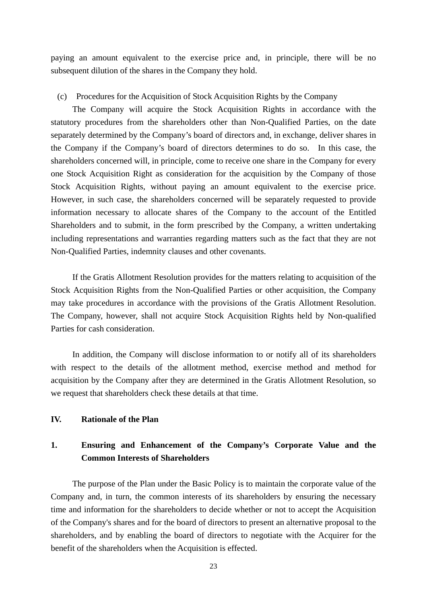paying an amount equivalent to the exercise price and, in principle, there will be no subsequent dilution of the shares in the Company they hold.

#### (c) Procedures for the Acquisition of Stock Acquisition Rights by the Company

The Company will acquire the Stock Acquisition Rights in accordance with the statutory procedures from the shareholders other than Non-Qualified Parties, on the date separately determined by the Company's board of directors and, in exchange, deliver shares in the Company if the Company's board of directors determines to do so. In this case, the shareholders concerned will, in principle, come to receive one share in the Company for every one Stock Acquisition Right as consideration for the acquisition by the Company of those Stock Acquisition Rights, without paying an amount equivalent to the exercise price. However, in such case, the shareholders concerned will be separately requested to provide information necessary to allocate shares of the Company to the account of the Entitled Shareholders and to submit, in the form prescribed by the Company, a written undertaking including representations and warranties regarding matters such as the fact that they are not Non-Qualified Parties, indemnity clauses and other covenants.

If the Gratis Allotment Resolution provides for the matters relating to acquisition of the Stock Acquisition Rights from the Non-Qualified Parties or other acquisition, the Company may take procedures in accordance with the provisions of the Gratis Allotment Resolution. The Company, however, shall not acquire Stock Acquisition Rights held by Non-qualified Parties for cash consideration.

In addition, the Company will disclose information to or notify all of its shareholders with respect to the details of the allotment method, exercise method and method for acquisition by the Company after they are determined in the Gratis Allotment Resolution, so we request that shareholders check these details at that time.

### **IV. Rationale of the Plan**

# **1. Ensuring and Enhancement of the Company's Corporate Value and the Common Interests of Shareholders**

The purpose of the Plan under the Basic Policy is to maintain the corporate value of the Company and, in turn, the common interests of its shareholders by ensuring the necessary time and information for the shareholders to decide whether or not to accept the Acquisition of the Company's shares and for the board of directors to present an alternative proposal to the shareholders, and by enabling the board of directors to negotiate with the Acquirer for the benefit of the shareholders when the Acquisition is effected.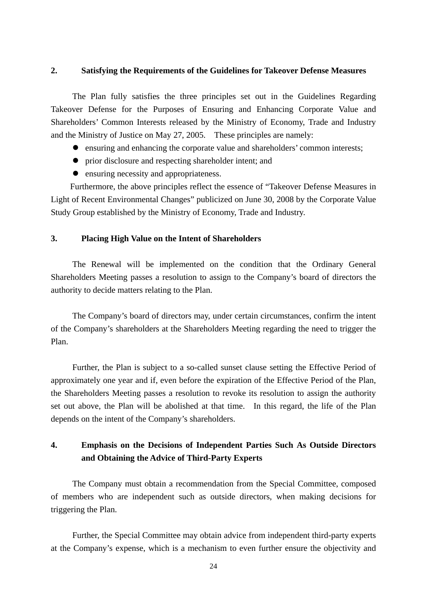#### **2. Satisfying the Requirements of the Guidelines for Takeover Defense Measures**

The Plan fully satisfies the three principles set out in the Guidelines Regarding Takeover Defense for the Purposes of Ensuring and Enhancing Corporate Value and Shareholders' Common Interests released by the Ministry of Economy, Trade and Industry and the Ministry of Justice on May 27, 2005. These principles are namely:

- ensuring and enhancing the corporate value and shareholders' common interests;
- prior disclosure and respecting shareholder intent; and
- ensuring necessity and appropriateness.

Furthermore, the above principles reflect the essence of "Takeover Defense Measures in Light of Recent Environmental Changes" publicized on June 30, 2008 by the Corporate Value Study Group established by the Ministry of Economy, Trade and Industry.

#### **3. Placing High Value on the Intent of Shareholders**

The Renewal will be implemented on the condition that the Ordinary General Shareholders Meeting passes a resolution to assign to the Company's board of directors the authority to decide matters relating to the Plan.

The Company's board of directors may, under certain circumstances, confirm the intent of the Company's shareholders at the Shareholders Meeting regarding the need to trigger the Plan.

Further, the Plan is subject to a so-called sunset clause setting the Effective Period of approximately one year and if, even before the expiration of the Effective Period of the Plan, the Shareholders Meeting passes a resolution to revoke its resolution to assign the authority set out above, the Plan will be abolished at that time. In this regard, the life of the Plan depends on the intent of the Company's shareholders.

# **4. Emphasis on the Decisions of Independent Parties Such As Outside Directors and Obtaining the Advice of Third-Party Experts**

The Company must obtain a recommendation from the Special Committee, composed of members who are independent such as outside directors, when making decisions for triggering the Plan.

Further, the Special Committee may obtain advice from independent third-party experts at the Company's expense, which is a mechanism to even further ensure the objectivity and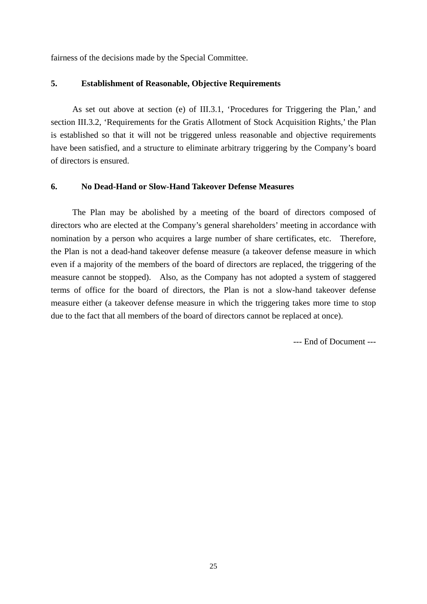fairness of the decisions made by the Special Committee.

#### **5. Establishment of Reasonable, Objective Requirements**

As set out above at section (e) of III.3.1, 'Procedures for Triggering the Plan,' and section III.3.2, 'Requirements for the Gratis Allotment of Stock Acquisition Rights,' the Plan is established so that it will not be triggered unless reasonable and objective requirements have been satisfied, and a structure to eliminate arbitrary triggering by the Company's board of directors is ensured.

#### **6. No Dead-Hand or Slow-Hand Takeover Defense Measures**

The Plan may be abolished by a meeting of the board of directors composed of directors who are elected at the Company's general shareholders' meeting in accordance with nomination by a person who acquires a large number of share certificates, etc. Therefore, the Plan is not a dead-hand takeover defense measure (a takeover defense measure in which even if a majority of the members of the board of directors are replaced, the triggering of the measure cannot be stopped). Also, as the Company has not adopted a system of staggered terms of office for the board of directors, the Plan is not a slow-hand takeover defense measure either (a takeover defense measure in which the triggering takes more time to stop due to the fact that all members of the board of directors cannot be replaced at once).

--- End of Document ---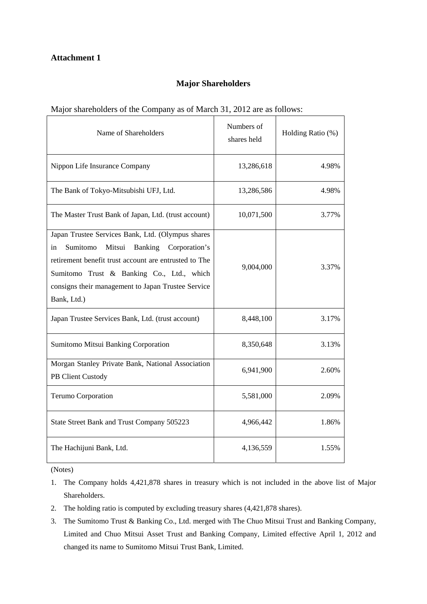## **Major Shareholders**

#### Major shareholders of the Company as of March 31, 2012 are as follows:

| Name of Shareholders                                                                                                                                                                                                                                                                        | Numbers of<br>shares held | Holding Ratio (%) |
|---------------------------------------------------------------------------------------------------------------------------------------------------------------------------------------------------------------------------------------------------------------------------------------------|---------------------------|-------------------|
| Nippon Life Insurance Company                                                                                                                                                                                                                                                               | 13,286,618                | 4.98%             |
| The Bank of Tokyo-Mitsubishi UFJ, Ltd.                                                                                                                                                                                                                                                      | 13,286,586                | 4.98%             |
| The Master Trust Bank of Japan, Ltd. (trust account)                                                                                                                                                                                                                                        | 10,071,500                | 3.77%             |
| Japan Trustee Services Bank, Ltd. (Olympus shares<br>Sumitomo<br>Mitsui<br><b>Banking</b><br>Corporation's<br>in<br>retirement benefit trust account are entrusted to The<br>Sumitomo Trust & Banking Co., Ltd., which<br>consigns their management to Japan Trustee Service<br>Bank, Ltd.) | 9,004,000                 | 3.37%             |
| Japan Trustee Services Bank, Ltd. (trust account)                                                                                                                                                                                                                                           | 8,448,100                 | 3.17%             |
| Sumitomo Mitsui Banking Corporation                                                                                                                                                                                                                                                         | 8,350,648                 | 3.13%             |
| Morgan Stanley Private Bank, National Association<br>PB Client Custody                                                                                                                                                                                                                      | 6,941,900                 | 2.60%             |
| Terumo Corporation                                                                                                                                                                                                                                                                          | 5,581,000                 | 2.09%             |
| State Street Bank and Trust Company 505223                                                                                                                                                                                                                                                  | 4,966,442                 | 1.86%             |
| The Hachijuni Bank, Ltd.                                                                                                                                                                                                                                                                    | 4,136,559                 | 1.55%             |

(Notes)

- 1. The Company holds 4,421,878 shares in treasury which is not included in the above list of Major Shareholders.
- 2. The holding ratio is computed by excluding treasury shares (4,421,878 shares).
- 3. The Sumitomo Trust & Banking Co., Ltd. merged with The Chuo Mitsui Trust and Banking Company, Limited and Chuo Mitsui Asset Trust and Banking Company, Limited effective April 1, 2012 and changed its name to Sumitomo Mitsui Trust Bank, Limited.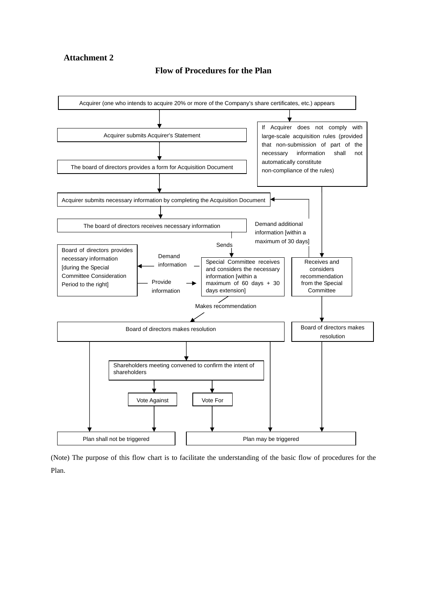#### **Flow of Procedures for the Plan**



(Note) The purpose of this flow chart is to facilitate the understanding of the basic flow of procedures for the Plan.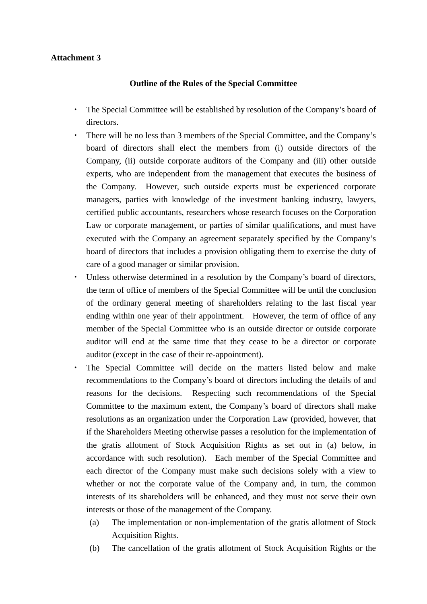## **Outline of the Rules of the Special Committee**

- ・ The Special Committee will be established by resolution of the Company's board of directors.
- There will be no less than 3 members of the Special Committee, and the Company's board of directors shall elect the members from (i) outside directors of the Company, (ii) outside corporate auditors of the Company and (iii) other outside experts, who are independent from the management that executes the business of the Company. However, such outside experts must be experienced corporate managers, parties with knowledge of the investment banking industry, lawyers, certified public accountants, researchers whose research focuses on the Corporation Law or corporate management, or parties of similar qualifications, and must have executed with the Company an agreement separately specified by the Company's board of directors that includes a provision obligating them to exercise the duty of care of a good manager or similar provision.
- Unless otherwise determined in a resolution by the Company's board of directors, the term of office of members of the Special Committee will be until the conclusion of the ordinary general meeting of shareholders relating to the last fiscal year ending within one year of their appointment. However, the term of office of any member of the Special Committee who is an outside director or outside corporate auditor will end at the same time that they cease to be a director or corporate auditor (except in the case of their re-appointment).
- The Special Committee will decide on the matters listed below and make recommendations to the Company's board of directors including the details of and reasons for the decisions. Respecting such recommendations of the Special Committee to the maximum extent, the Company's board of directors shall make resolutions as an organization under the Corporation Law (provided, however, that if the Shareholders Meeting otherwise passes a resolution for the implementation of the gratis allotment of Stock Acquisition Rights as set out in (a) below, in accordance with such resolution). Each member of the Special Committee and each director of the Company must make such decisions solely with a view to whether or not the corporate value of the Company and, in turn, the common interests of its shareholders will be enhanced, and they must not serve their own interests or those of the management of the Company.
	- (a) The implementation or non-implementation of the gratis allotment of Stock Acquisition Rights.
	- (b) The cancellation of the gratis allotment of Stock Acquisition Rights or the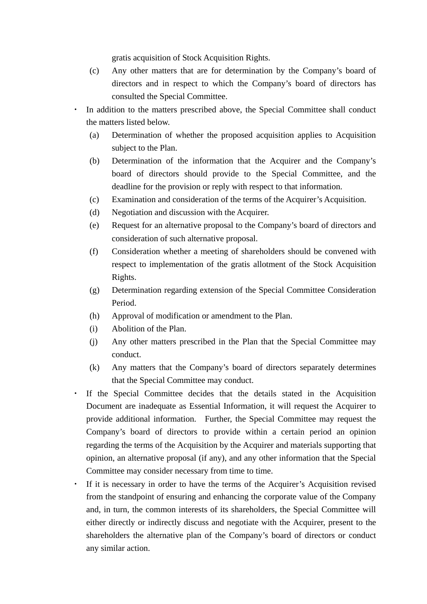gratis acquisition of Stock Acquisition Rights.

- (c) Any other matters that are for determination by the Company's board of directors and in respect to which the Company's board of directors has consulted the Special Committee.
- In addition to the matters prescribed above, the Special Committee shall conduct the matters listed below.
	- (a) Determination of whether the proposed acquisition applies to Acquisition subject to the Plan.
	- (b) Determination of the information that the Acquirer and the Company's board of directors should provide to the Special Committee, and the deadline for the provision or reply with respect to that information.
	- (c) Examination and consideration of the terms of the Acquirer's Acquisition.
	- (d) Negotiation and discussion with the Acquirer.
	- (e) Request for an alternative proposal to the Company's board of directors and consideration of such alternative proposal.
	- (f) Consideration whether a meeting of shareholders should be convened with respect to implementation of the gratis allotment of the Stock Acquisition Rights.
	- (g) Determination regarding extension of the Special Committee Consideration Period.
	- (h) Approval of modification or amendment to the Plan.
	- (i) Abolition of the Plan.
	- (j) Any other matters prescribed in the Plan that the Special Committee may conduct.
	- (k) Any matters that the Company's board of directors separately determines that the Special Committee may conduct.
- If the Special Committee decides that the details stated in the Acquisition Document are inadequate as Essential Information, it will request the Acquirer to provide additional information. Further, the Special Committee may request the Company's board of directors to provide within a certain period an opinion regarding the terms of the Acquisition by the Acquirer and materials supporting that opinion, an alternative proposal (if any), and any other information that the Special Committee may consider necessary from time to time.
- If it is necessary in order to have the terms of the Acquirer's Acquisition revised from the standpoint of ensuring and enhancing the corporate value of the Company and, in turn, the common interests of its shareholders, the Special Committee will either directly or indirectly discuss and negotiate with the Acquirer, present to the shareholders the alternative plan of the Company's board of directors or conduct any similar action.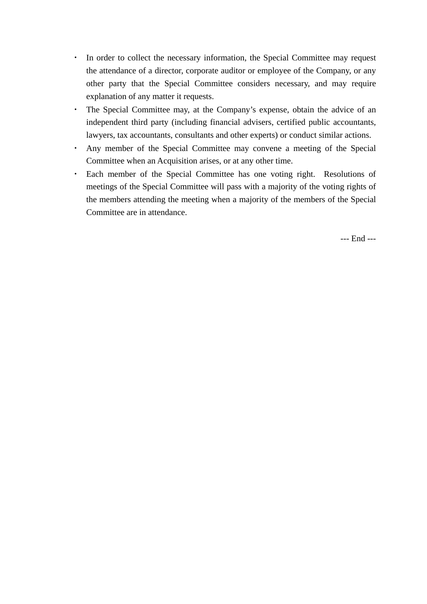- ・ In order to collect the necessary information, the Special Committee may request the attendance of a director, corporate auditor or employee of the Company, or any other party that the Special Committee considers necessary, and may require explanation of any matter it requests.
- ・ The Special Committee may, at the Company's expense, obtain the advice of an independent third party (including financial advisers, certified public accountants, lawyers, tax accountants, consultants and other experts) or conduct similar actions.
- ・ Any member of the Special Committee may convene a meeting of the Special Committee when an Acquisition arises, or at any other time.
- ・ Each member of the Special Committee has one voting right. Resolutions of meetings of the Special Committee will pass with a majority of the voting rights of the members attending the meeting when a majority of the members of the Special Committee are in attendance.

--- End ---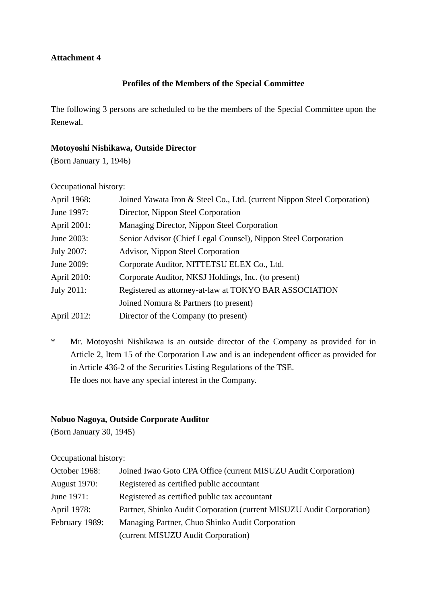# **Profiles of the Members of the Special Committee**

The following 3 persons are scheduled to be the members of the Special Committee upon the Renewal.

## **Motoyoshi Nishikawa, Outside Director**

(Born January 1, 1946)

Occupational history:

| April 1968: | Joined Yawata Iron & Steel Co., Ltd. (current Nippon Steel Corporation) |
|-------------|-------------------------------------------------------------------------|
| June 1997:  | Director, Nippon Steel Corporation                                      |
| April 2001: | Managing Director, Nippon Steel Corporation                             |
| June 2003:  | Senior Advisor (Chief Legal Counsel), Nippon Steel Corporation          |
| July 2007:  | Advisor, Nippon Steel Corporation                                       |
| June 2009:  | Corporate Auditor, NITTETSU ELEX Co., Ltd.                              |
| April 2010: | Corporate Auditor, NKSJ Holdings, Inc. (to present)                     |
| July 2011:  | Registered as attorney-at-law at TOKYO BAR ASSOCIATION                  |
|             | Joined Nomura & Partners (to present)                                   |
| April 2012: | Director of the Company (to present)                                    |

\* Mr. Motoyoshi Nishikawa is an outside director of the Company as provided for in Article 2, Item 15 of the Corporation Law and is an independent officer as provided for in Article 436-2 of the Securities Listing Regulations of the TSE. He does not have any special interest in the Company.

# **Nobuo Nagoya, Outside Corporate Auditor**

(Born January 30, 1945)

Occupational history:

| October 1968:       | Joined Iwao Goto CPA Office (current MISUZU Audit Corporation)       |
|---------------------|----------------------------------------------------------------------|
| <b>August</b> 1970: | Registered as certified public accountant                            |
| June 1971:          | Registered as certified public tax accountant                        |
| April 1978:         | Partner, Shinko Audit Corporation (current MISUZU Audit Corporation) |
| February 1989:      | Managing Partner, Chuo Shinko Audit Corporation                      |
|                     | (current MISUZU Audit Corporation)                                   |